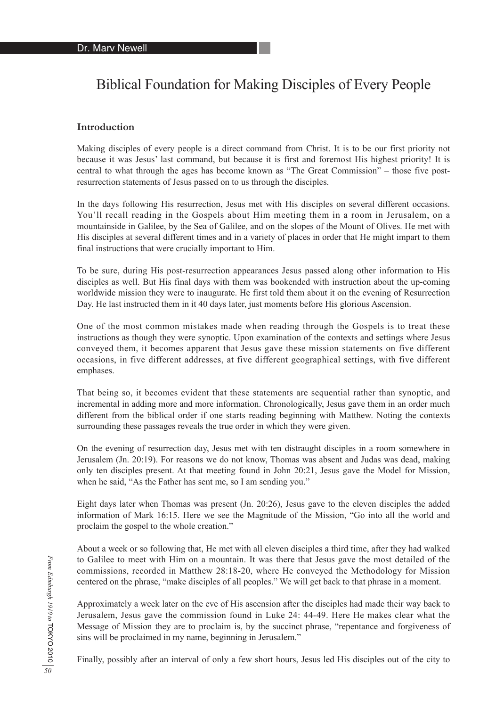# Biblical Foundation for Making Disciples of Every People

## **Introduction**

Making disciples of every people is a direct command from Christ. It is to be our first priority not because it was Jesus' last command, but because it is first and foremost His highest priority! It is central to what through the ages has become known as "The Great Commission" – those five postresurrection statements of Jesus passed on to us through the disciples.

In the days following His resurrection, Jesus met with His disciples on several different occasions. You'll recall reading in the Gospels about Him meeting them in a room in Jerusalem, on a mountainside in Galilee, by the Sea of Galilee, and on the slopes of the Mount of Olives. He met with His disciples at several different times and in a variety of places in order that He might impart to them final instructions that were crucially important to Him.

To be sure, during His post-resurrection appearances Jesus passed along other information to His disciples as well. But His final days with them was bookended with instruction about the up-coming worldwide mission they were to inaugurate. He first told them about it on the evening of Resurrection Day. He last instructed them in it 40 days later, just moments before His glorious Ascension.

One of the most common mistakes made when reading through the Gospels is to treat these instructions as though they were synoptic. Upon examination of the contexts and settings where Jesus conveyed them, it becomes apparent that Jesus gave these mission statements on five different occasions, in five different addresses, at five different geographical settings, with five different emphases.

That being so, it becomes evident that these statements are sequential rather than synoptic, and incremental in adding more and more information. Chronologically, Jesus gave them in an order much different from the biblical order if one starts reading beginning with Matthew. Noting the contexts surrounding these passages reveals the true order in which they were given.

On the evening of resurrection day, Jesus met with ten distraught disciples in a room somewhere in Jerusalem (Jn. 20:19). For reasons we do not know, Thomas was absent and Judas was dead, making only ten disciples present. At that meeting found in John 20:21, Jesus gave the Model for Mission, when he said, "As the Father has sent me, so I am sending you."

Eight days later when Thomas was present (Jn. 20:26), Jesus gave to the eleven disciples the added information of Mark 16:15. Here we see the Magnitude of the Mission, "Go into all the world and proclaim the gospel to the whole creation."

About a week or so following that, He met with all eleven disciples a third time, after they had walked to Galilee to meet with Him on a mountain. It was there that Jesus gave the most detailed of the commissions, recorded in Matthew 28:18-20, where He conveyed the Methodology for Mission centered on the phrase, "make disciples of all peoples." We will get back to that phrase in a moment.

Approximately a week later on the eve of His ascension after the disciples had made their way back to Jerusalem, Jesus gave the commission found in Luke 24: 44-49. Here He makes clear what the Message of Mission they are to proclaim is, by the succinct phrase, "repentance and forgiveness of sins will be proclaimed in my name, beginning in Jerusalem."

Finally, possibly after an interval of only a few short hours, Jesus led His disciples out of the city to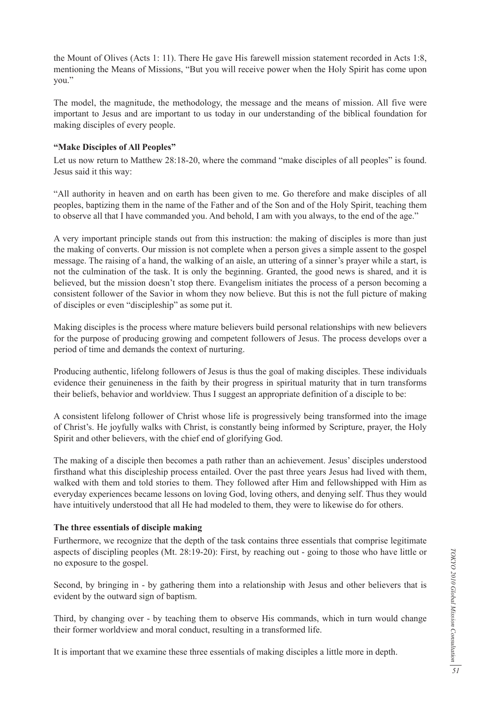the Mount of Olives (Acts 1: 11). There He gave His farewell mission statement recorded in Acts 1:8, mentioning the Means of Missions, "But you will receive power when the Holy Spirit has come upon you."

The model, the magnitude, the methodology, the message and the means of mission. All five were important to Jesus and are important to us today in our understanding of the biblical foundation for making disciples of every people.

#### **"Make Disciples of All Peoples"**

Let us now return to Matthew 28:18-20, where the command "make disciples of all peoples" is found. Jesus said it this way:

"All authority in heaven and on earth has been given to me. Go therefore and make disciples of all peoples, baptizing them in the name of the Father and of the Son and of the Holy Spirit, teaching them to observe all that I have commanded you. And behold, I am with you always, to the end of the age."

A very important principle stands out from this instruction: the making of disciples is more than just the making of converts. Our mission is not complete when a person gives a simple assent to the gospel message. The raising of a hand, the walking of an aisle, an uttering of a sinner's prayer while a start, is not the culmination of the task. It is only the beginning. Granted, the good news is shared, and it is believed, but the mission doesn't stop there. Evangelism initiates the process of a person becoming a consistent follower of the Savior in whom they now believe. But this is not the full picture of making of disciples or even "discipleship" as some put it.

Making disciples is the process where mature believers build personal relationships with new believers for the purpose of producing growing and competent followers of Jesus. The process develops over a period of time and demands the context of nurturing.

Producing authentic, lifelong followers of Jesus is thus the goal of making disciples. These individuals evidence their genuineness in the faith by their progress in spiritual maturity that in turn transforms their beliefs, behavior and worldview. Thus I suggest an appropriate definition of a disciple to be:

A consistent lifelong follower of Christ whose life is progressively being transformed into the image of Christ's. He joyfully walks with Christ, is constantly being informed by Scripture, prayer, the Holy Spirit and other believers, with the chief end of glorifying God.

The making of a disciple then becomes a path rather than an achievement. Jesus' disciples understood firsthand what this discipleship process entailed. Over the past three years Jesus had lived with them, walked with them and told stories to them. They followed after Him and fellowshipped with Him as everyday experiences became lessons on loving God, loving others, and denying self. Thus they would have intuitively understood that all He had modeled to them, they were to likewise do for others.

#### **The three essentials of disciple making**

Furthermore, we recognize that the depth of the task contains three essentials that comprise legitimate aspects of discipling peoples (Mt. 28:19-20): First, by reaching out - going to those who have little or no exposure to the gospel.

Second, by bringing in - by gathering them into a relationship with Jesus and other believers that is evident by the outward sign of baptism.

Third, by changing over - by teaching them to observe His commands, which in turn would change their former worldview and moral conduct, resulting in a transformed life.

It is important that we examine these three essentials of making disciples a little more in depth.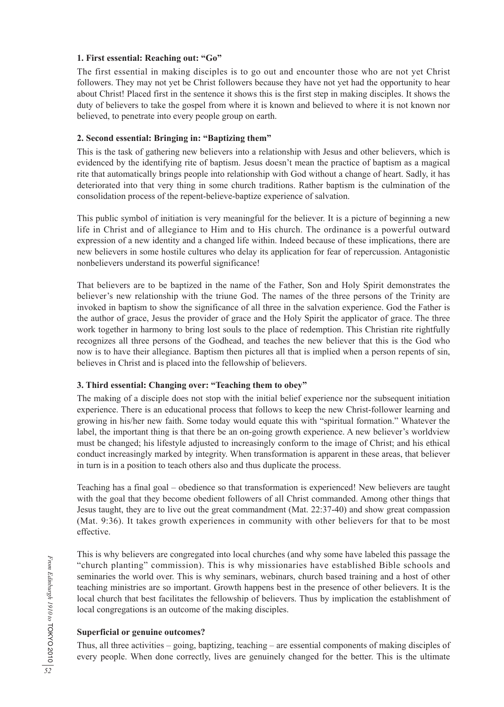## **1. First essential: Reaching out: "Go"**

The first essential in making disciples is to go out and encounter those who are not yet Christ followers. They may not yet be Christ followers because they have not yet had the opportunity to hear about Christ! Placed first in the sentence it shows this is the first step in making disciples. It shows the duty of believers to take the gospel from where it is known and believed to where it is not known nor believed, to penetrate into every people group on earth.

### **2. Second essential: Bringing in: "Baptizing them"**

This is the task of gathering new believers into a relationship with Jesus and other believers, which is evidenced by the identifying rite of baptism. Jesus doesn't mean the practice of baptism as a magical rite that automatically brings people into relationship with God without a change of heart. Sadly, it has deteriorated into that very thing in some church traditions. Rather baptism is the culmination of the consolidation process of the repent-believe-baptize experience of salvation.

This public symbol of initiation is very meaningful for the believer. It is a picture of beginning a new life in Christ and of allegiance to Him and to His church. The ordinance is a powerful outward expression of a new identity and a changed life within. Indeed because of these implications, there are new believers in some hostile cultures who delay its application for fear of repercussion. Antagonistic nonbelievers understand its powerful significance!

That believers are to be baptized in the name of the Father, Son and Holy Spirit demonstrates the believer's new relationship with the triune God. The names of the three persons of the Trinity are invoked in baptism to show the significance of all three in the salvation experience. God the Father is the author of grace, Jesus the provider of grace and the Holy Spirit the applicator of grace. The three work together in harmony to bring lost souls to the place of redemption. This Christian rite rightfully recognizes all three persons of the Godhead, and teaches the new believer that this is the God who now is to have their allegiance. Baptism then pictures all that is implied when a person repents of sin, believes in Christ and is placed into the fellowship of believers.

# **3. Third essential: Changing over: "Teaching them to obey"**

The making of a disciple does not stop with the initial belief experience nor the subsequent initiation experience. There is an educational process that follows to keep the new Christ-follower learning and growing in his/her new faith. Some today would equate this with "spiritual formation." Whatever the label, the important thing is that there be an on-going growth experience. A new believer's worldview must be changed; his lifestyle adjusted to increasingly conform to the image of Christ; and his ethical conduct increasingly marked by integrity. When transformation is apparent in these areas, that believer in turn is in a position to teach others also and thus duplicate the process.

Teaching has a final goal – obedience so that transformation is experienced! New believers are taught with the goal that they become obedient followers of all Christ commanded. Among other things that Jesus taught, they are to live out the great commandment (Mat. 22:37-40) and show great compassion (Mat. 9:36). It takes growth experiences in community with other believers for that to be most effective.

This is why believers are congregated into local churches (and why some have labeled this passage the "church planting" commission). This is why missionaries have established Bible schools and seminaries the world over. This is why seminars, webinars, church based training and a host of other teaching ministries are so important. Growth happens best in the presence of other believers. It is the local church that best facilitates the fellowship of believers. Thus by implication the establishment of local congregations is an outcome of the making disciples.

## **Superficial or genuine outcomes?**

Thus, all three activities – going, baptizing, teaching – are essential components of making disciples of every people. When done correctly, lives are genuinely changed for the better. This is the ultimate